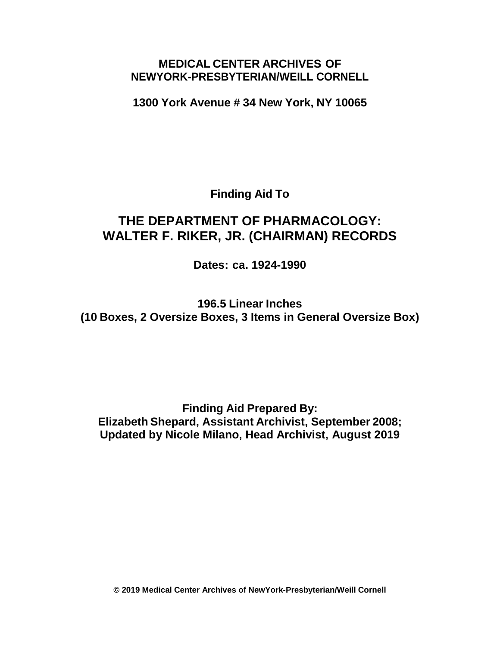## **MEDICAL CENTER ARCHIVES OF NEWYORK-PRESBYTERIAN/WEILL CORNELL**

**1300 York Avenue # 34 New York, NY 10065**

**Finding Aid To**

# **THE DEPARTMENT OF PHARMACOLOGY: WALTER F. RIKER, JR. (CHAIRMAN) RECORDS**

**Dates: ca. 1924-1990**

**196.5 Linear Inches (10 Boxes, 2 Oversize Boxes, 3 Items in General Oversize Box)**

**Finding Aid Prepared By: Elizabeth Shepard, Assistant Archivist, September 2008; Updated by Nicole Milano, Head Archivist, August 2019**

**© 2019 Medical Center Archives of NewYork-Presbyterian/Weill Cornell**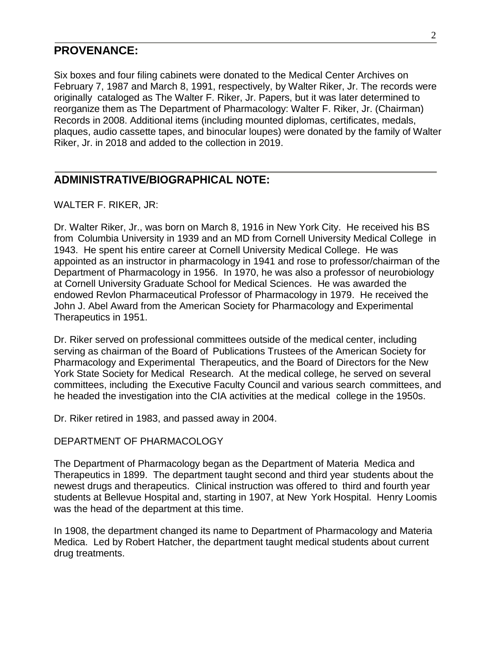### **PROVENANCE:**

Six boxes and four filing cabinets were donated to the Medical Center Archives on February 7, 1987 and March 8, 1991, respectively, by Walter Riker, Jr. The records were originally cataloged as The Walter F. Riker, Jr. Papers, but it was later determined to reorganize them as The Department of Pharmacology: Walter F. Riker, Jr. (Chairman) Records in 2008. Additional items (including mounted diplomas, certificates, medals, plaques, audio cassette tapes, and binocular loupes) were donated by the family of Walter Riker, Jr. in 2018 and added to the collection in 2019.

## **ADMINISTRATIVE/BIOGRAPHICAL NOTE:**

WALTER F. RIKER, JR:

Dr. Walter Riker, Jr., was born on March 8, 1916 in New York City. He received his BS from Columbia University in 1939 and an MD from Cornell University Medical College in 1943. He spent his entire career at Cornell University Medical College. He was appointed as an instructor in pharmacology in 1941 and rose to professor/chairman of the Department of Pharmacology in 1956. In 1970, he was also a professor of neurobiology at Cornell University Graduate School for Medical Sciences. He was awarded the endowed Revlon Pharmaceutical Professor of Pharmacology in 1979. He received the John J. Abel Award from the American Society for Pharmacology and Experimental Therapeutics in 1951.

Dr. Riker served on professional committees outside of the medical center, including serving as chairman of the Board of Publications Trustees of the American Society for Pharmacology and Experimental Therapeutics, and the Board of Directors for the New York State Society for Medical Research. At the medical college, he served on several committees, including the Executive Faculty Council and various search committees, and he headed the investigation into the CIA activities at the medical college in the 1950s.

Dr. Riker retired in 1983, and passed away in 2004.

#### DEPARTMENT OF PHARMACOLOGY

The Department of Pharmacology began as the Department of Materia Medica and Therapeutics in 1899. The department taught second and third year students about the newest drugs and therapeutics. Clinical instruction was offered to third and fourth year students at Bellevue Hospital and, starting in 1907, at New York Hospital. Henry Loomis was the head of the department at this time.

In 1908, the department changed its name to Department of Pharmacology and Materia Medica. Led by Robert Hatcher, the department taught medical students about current drug treatments.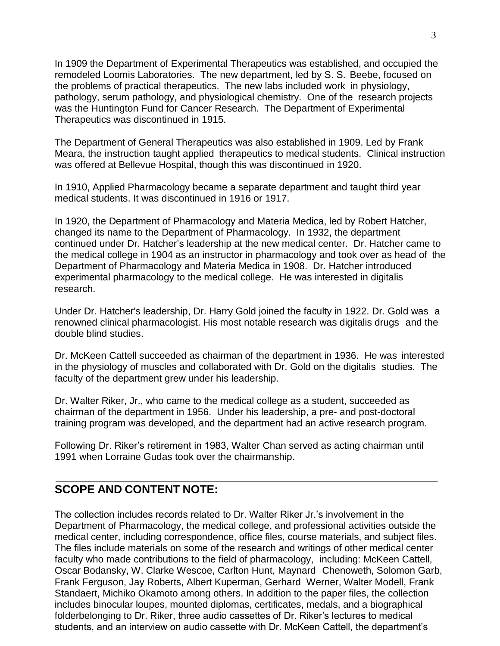In 1909 the Department of Experimental Therapeutics was established, and occupied the remodeled Loomis Laboratories. The new department, led by S. S. Beebe, focused on the problems of practical therapeutics. The new labs included work in physiology, pathology, serum pathology, and physiological chemistry. One of the research projects was the Huntington Fund for Cancer Research. The Department of Experimental Therapeutics was discontinued in 1915.

The Department of General Therapeutics was also established in 1909. Led by Frank Meara, the instruction taught applied therapeutics to medical students. Clinical instruction was offered at Bellevue Hospital, though this was discontinued in 1920.

In 1910, Applied Pharmacology became a separate department and taught third year medical students. It was discontinued in 1916 or 1917.

In 1920, the Department of Pharmacology and Materia Medica, led by Robert Hatcher, changed its name to the Department of Pharmacology. In 1932, the department continued under Dr. Hatcher's leadership at the new medical center. Dr. Hatcher came to the medical college in 1904 as an instructor in pharmacology and took over as head of the Department of Pharmacology and Materia Medica in 1908. Dr. Hatcher introduced experimental pharmacology to the medical college. He was interested in digitalis research.

Under Dr. Hatcher's leadership, Dr. Harry Gold joined the faculty in 1922. Dr. Gold was a renowned clinical pharmacologist. His most notable research was digitalis drugs and the double blind studies.

Dr. McKeen Cattell succeeded as chairman of the department in 1936. He was interested in the physiology of muscles and collaborated with Dr. Gold on the digitalis studies. The faculty of the department grew under his leadership.

Dr. Walter Riker, Jr., who came to the medical college as a student, succeeded as chairman of the department in 1956. Under his leadership, a pre- and post-doctoral training program was developed, and the department had an active research program.

Following Dr. Riker's retirement in 1983, Walter Chan served as acting chairman until 1991 when Lorraine Gudas took over the chairmanship.

## **SCOPE AND CONTENT NOTE:**

The collection includes records related to Dr. Walter Riker Jr.'s involvement in the Department of Pharmacology, the medical college, and professional activities outside the medical center, including correspondence, office files, course materials, and subject files. The files include materials on some of the research and writings of other medical center faculty who made contributions to the field of pharmacology, including: McKeen Cattell, Oscar Bodansky, W. Clarke Wescoe, Carlton Hunt, Maynard Chenoweth, Solomon Garb, Frank Ferguson, Jay Roberts, Albert Kuperman, Gerhard Werner, Walter Modell, Frank Standaert, Michiko Okamoto among others. In addition to the paper files, the collection includes binocular loupes, mounted diplomas, certificates, medals, and a biographical folderbelonging to Dr. Riker, three audio cassettes of Dr. Riker's lectures to medical students, and an interview on audio cassette with Dr. McKeen Cattell, the department's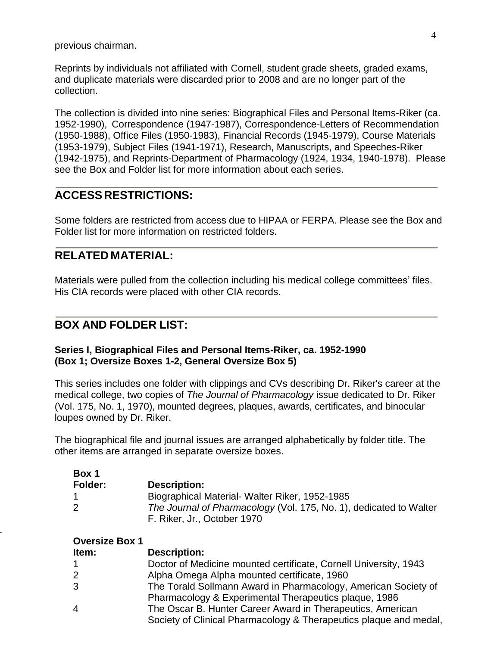previous chairman.

Reprints by individuals not affiliated with Cornell, student grade sheets, graded exams, and duplicate materials were discarded prior to 2008 and are no longer part of the collection.

The collection is divided into nine series: Biographical Files and Personal Items-Riker (ca. 1952-1990), Correspondence (1947-1987), Correspondence-Letters of Recommendation (1950-1988), Office Files (1950-1983), Financial Records (1945-1979), Course Materials (1953-1979), Subject Files (1941-1971), Research, Manuscripts, and Speeches-Riker (1942-1975), and Reprints-Department of Pharmacology (1924, 1934, 1940-1978). Please see the Box and Folder list for more information about each series.

## **ACCESS RESTRICTIONS:**

Some folders are restricted from access due to HIPAA or FERPA. Please see the Box and Folder list for more information on restricted folders.

## **RELATED MATERIAL:**

Materials were pulled from the collection including his medical college committees' files. His CIA records were placed with other CIA records.

## **BOX AND FOLDER LIST:**

### **Series I, Biographical Files and Personal Items-Riker, ca. 1952-1990 (Box 1; Oversize Boxes 1-2, General Oversize Box 5)**

This series includes one folder with clippings and CVs describing Dr. Riker's career at the medical college, two copies of *The Journal of Pharmacology* issue dedicated to Dr. Riker (Vol. 175, No. 1, 1970), mounted degrees, plaques, awards, certificates, and binocular loupes owned by Dr. Riker.

The biographical file and journal issues are arranged alphabetically by folder title. The other items are arranged in separate oversize boxes.

| Box 1          |                                                                                                   |
|----------------|---------------------------------------------------------------------------------------------------|
| <b>Folder:</b> | <b>Description:</b>                                                                               |
|                | Biographical Material- Walter Riker, 1952-1985                                                    |
|                | The Journal of Pharmacology (Vol. 175, No. 1), dedicated to Walter<br>F. Riker, Jr., October 1970 |

1

| Item:        | <b>Description:</b>                                               |
|--------------|-------------------------------------------------------------------|
|              | Doctor of Medicine mounted certificate, Cornell University, 1943  |
| $\mathbf{2}$ | Alpha Omega Alpha mounted certificate, 1960                       |
| 3            | The Torald Sollmann Award in Pharmacology, American Society of    |
|              | Pharmacology & Experimental Therapeutics plaque, 1986             |
| 4            | The Oscar B. Hunter Career Award in Therapeutics, American        |
|              | Society of Clinical Pharmacology & Therapeutics plaque and medal, |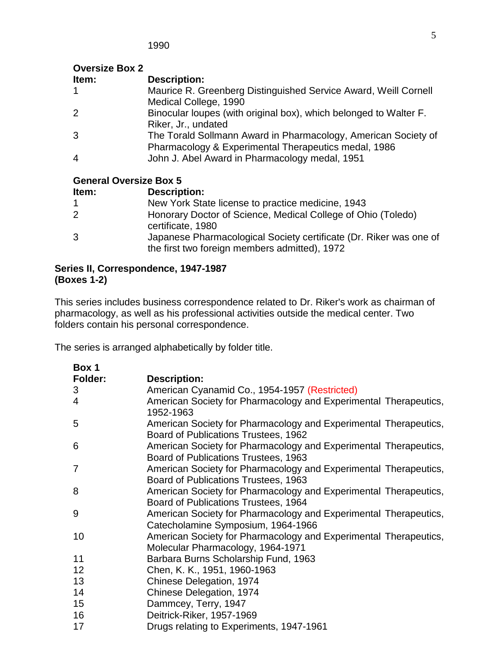## **Oversize Box 2**

| Item:          | <b>Description:</b>                                               |
|----------------|-------------------------------------------------------------------|
| 1              | Maurice R. Greenberg Distinguished Service Award, Weill Cornell   |
|                | Medical College, 1990                                             |
| $\overline{2}$ | Binocular loupes (with original box), which belonged to Walter F. |
|                | Riker, Jr., undated                                               |
| 3              | The Torald Sollmann Award in Pharmacology, American Society of    |
|                | Pharmacology & Experimental Therapeutics medal, 1986              |
| 4              | John J. Abel Award in Pharmacology medal, 1951                    |
|                |                                                                   |

## **General Oversize Box 5**

| Item:          | <b>Description:</b>                                                                                                 |
|----------------|---------------------------------------------------------------------------------------------------------------------|
|                | New York State license to practice medicine, 1943                                                                   |
| $\overline{2}$ | Honorary Doctor of Science, Medical College of Ohio (Toledo)<br>certificate, 1980                                   |
| 3              | Japanese Pharmacological Society certificate (Dr. Riker was one of<br>the first two foreign members admitted), 1972 |

### **Series II, Correspondence, 1947-1987 (Boxes 1-2)**

This series includes business correspondence related to Dr. Riker's work as chairman of pharmacology, as well as his professional activities outside the medical center. Two folders contain his personal correspondence.

| Box 1   |                                                                                                          |
|---------|----------------------------------------------------------------------------------------------------------|
| Folder: | <b>Description:</b>                                                                                      |
| 3       | American Cyanamid Co., 1954-1957 (Restricted)                                                            |
| 4       | American Society for Pharmacology and Experimental Therapeutics,<br>1952-1963                            |
| 5       | American Society for Pharmacology and Experimental Therapeutics,<br>Board of Publications Trustees, 1962 |
| 6       | American Society for Pharmacology and Experimental Therapeutics,<br>Board of Publications Trustees, 1963 |
| 7       | American Society for Pharmacology and Experimental Therapeutics,<br>Board of Publications Trustees, 1963 |
| 8       | American Society for Pharmacology and Experimental Therapeutics,<br>Board of Publications Trustees, 1964 |
| 9       | American Society for Pharmacology and Experimental Therapeutics,<br>Catecholamine Symposium, 1964-1966   |
| 10      | American Society for Pharmacology and Experimental Therapeutics,<br>Molecular Pharmacology, 1964-1971    |
| 11      | Barbara Burns Scholarship Fund, 1963                                                                     |
| 12      | Chen, K. K., 1951, 1960-1963                                                                             |
| 13      | Chinese Delegation, 1974                                                                                 |
| 14      | Chinese Delegation, 1974                                                                                 |
| 15      | Dammcey, Terry, 1947                                                                                     |
| 16      | Deitrick-Riker, 1957-1969                                                                                |
| 17      | Drugs relating to Experiments, 1947-1961                                                                 |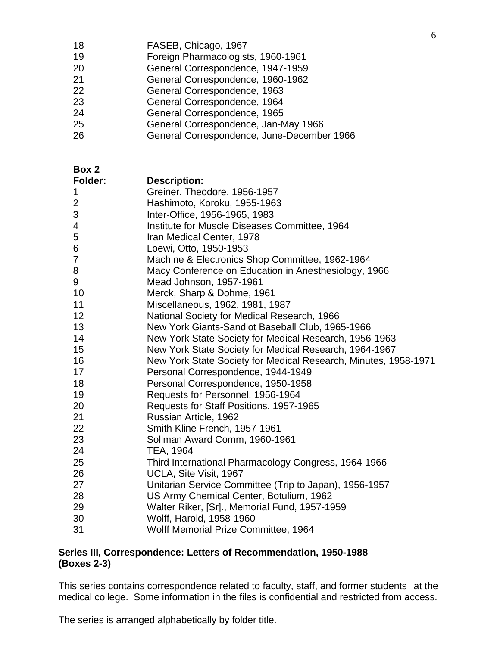|  | 18 | FASEB, Chicago, 1967 |  |
|--|----|----------------------|--|
|--|----|----------------------|--|

- Foreign Pharmacologists, 1960-1961
- General Correspondence, 1947-1959
- General Correspondence, 1960-1962
- General Correspondence, 1963
- General Correspondence, 1964
- General Correspondence, 1965
- General Correspondence, Jan-May 1966
- General Correspondence, June-December 1966

**Box 2**

| <b>Folder:</b> | <b>Description:</b>                                             |
|----------------|-----------------------------------------------------------------|
| 1              | Greiner, Theodore, 1956-1957                                    |
| $\overline{2}$ | Hashimoto, Koroku, 1955-1963                                    |
| 3              | Inter-Office, 1956-1965, 1983                                   |
| 4              | Institute for Muscle Diseases Committee, 1964                   |
| 5              | Iran Medical Center, 1978                                       |
| 6              | Loewi, Otto, 1950-1953                                          |
| $\overline{7}$ | Machine & Electronics Shop Committee, 1962-1964                 |
| 8              | Macy Conference on Education in Anesthesiology, 1966            |
| 9              | Mead Johnson, 1957-1961                                         |
| 10             | Merck, Sharp & Dohme, 1961                                      |
| 11             | Miscellaneous, 1962, 1981, 1987                                 |
| 12             | National Society for Medical Research, 1966                     |
| 13             | New York Giants-Sandlot Baseball Club, 1965-1966                |
| 14             | New York State Society for Medical Research, 1956-1963          |
| 15             | New York State Society for Medical Research, 1964-1967          |
| 16             | New York State Society for Medical Research, Minutes, 1958-1971 |
| 17             | Personal Correspondence, 1944-1949                              |
| 18             | Personal Correspondence, 1950-1958                              |
| 19             | Requests for Personnel, 1956-1964                               |
| 20             | Requests for Staff Positions, 1957-1965                         |
| 21             | Russian Article, 1962                                           |
| 22             | Smith Kline French, 1957-1961                                   |
| 23             | Sollman Award Comm, 1960-1961                                   |
| 24             | TEA, 1964                                                       |
| 25             | Third International Pharmacology Congress, 1964-1966            |
| 26             | UCLA, Site Visit, 1967                                          |
| 27             | Unitarian Service Committee (Trip to Japan), 1956-1957          |
| 28             | US Army Chemical Center, Botulium, 1962                         |
| 29             | Walter Riker, [Sr]., Memorial Fund, 1957-1959                   |
| 30             | Wolff, Harold, 1958-1960                                        |
| 31             | Wolff Memorial Prize Committee, 1964                            |

### **Series III, Correspondence: Letters of Recommendation, 1950-1988 (Boxes 2-3)**

This series contains correspondence related to faculty, staff, and former students at the medical college. Some information in the files is confidential and restricted from access.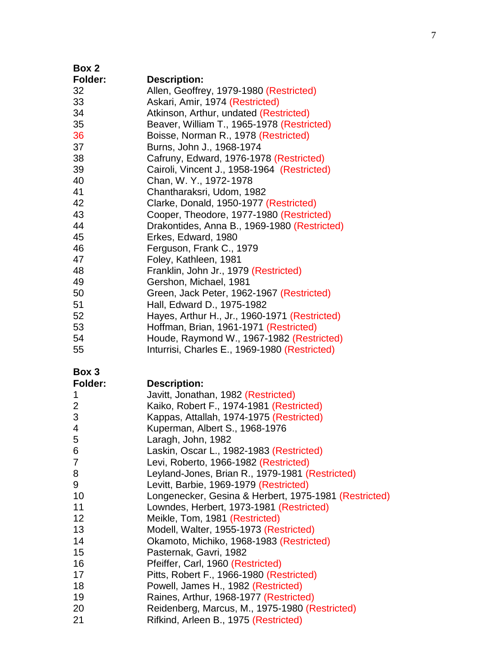| Box 2          |                                                       |
|----------------|-------------------------------------------------------|
| Folder:        | <b>Description:</b>                                   |
| 32             | Allen, Geoffrey, 1979-1980 (Restricted)               |
| 33             | Askari, Amir, 1974 (Restricted)                       |
| 34             | Atkinson, Arthur, undated (Restricted)                |
| 35             | Beaver, William T., 1965-1978 (Restricted)            |
| 36             | Boisse, Norman R., 1978 (Restricted)                  |
| 37             | Burns, John J., 1968-1974                             |
| 38             | Cafruny, Edward, 1976-1978 (Restricted)               |
| 39             | Cairoli, Vincent J., 1958-1964 (Restricted)           |
| 40             | Chan, W. Y., 1972-1978                                |
| 41             | Chantharaksri, Udom, 1982                             |
| 42             | Clarke, Donald, 1950-1977 (Restricted)                |
| 43             | Cooper, Theodore, 1977-1980 (Restricted)              |
| 44             | Drakontides, Anna B., 1969-1980 (Restricted)          |
| 45             | Erkes, Edward, 1980                                   |
| 46             | Ferguson, Frank C., 1979                              |
| 47             | Foley, Kathleen, 1981                                 |
| 48             | Franklin, John Jr., 1979 (Restricted)                 |
| 49             | Gershon, Michael, 1981                                |
| 50             | Green, Jack Peter, 1962-1967 (Restricted)             |
| 51             | Hall, Edward D., 1975-1982                            |
| 52             | Hayes, Arthur H., Jr., 1960-1971 (Restricted)         |
| 53             | Hoffman, Brian, 1961-1971 (Restricted)                |
| 54             | Houde, Raymond W., 1967-1982 (Restricted)             |
| 55             | Inturrisi, Charles E., 1969-1980 (Restricted)         |
| Box 3          |                                                       |
| <b>Folder:</b> | <b>Description:</b>                                   |
| 1              | Javitt, Jonathan, 1982 (Restricted)                   |
| 2              | Kaiko, Robert F., 1974-1981 (Restricted)              |
| 3              | Kappas, Attallah, 1974-1975 (Restricted)              |
| 4              | Kuperman, Albert S., 1968-1976                        |
| 5              | Laragh, John, 1982                                    |
| 6              | Laskin, Oscar L., 1982-1983 (Restricted)              |
| 7              | Levi, Roberto, 1966-1982 (Restricted)                 |
| 8              | Leyland-Jones, Brian R., 1979-1981 (Restricted)       |
| 9              | Levitt, Barbie, 1969-1979 (Restricted)                |
| 10             | Longenecker, Gesina & Herbert, 1975-1981 (Restricted) |
| 11             | Lowndes, Herbert, 1973-1981 (Restricted)              |
| 12             | Meikle, Tom, 1981 (Restricted)                        |

- Modell, Walter, 1955-1973 (Restricted)
- Okamoto, Michiko, 1968-1983 (Restricted)
- Pasternak, Gavri, 1982
- Pfeiffer, Carl, 1960 (Restricted)
- 17 Pitts, Robert F., 1966-1980 (Restricted)
- **Powell, James H., 1982 (Restricted)**
- Raines, Arthur, 1968-1977 (Restricted)
- Reidenberg, Marcus, M., 1975-1980 (Restricted)
- Rifkind, Arleen B., 1975 (Restricted)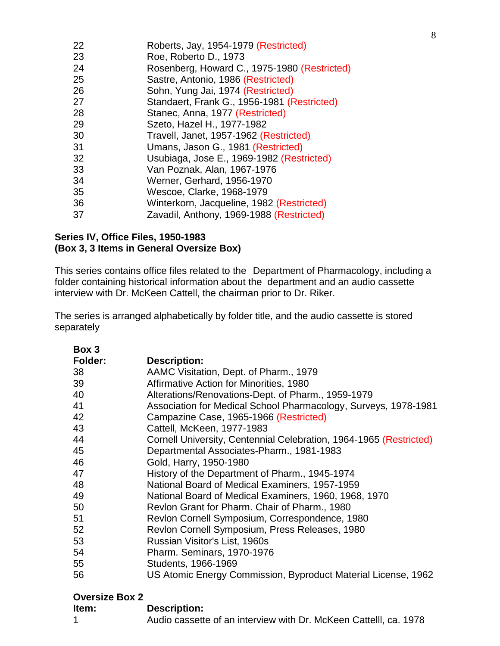| 22 | Roberts, Jay, 1954-1979 (Restricted)         |
|----|----------------------------------------------|
| 23 | Roe, Roberto D., 1973                        |
| 24 | Rosenberg, Howard C., 1975-1980 (Restricted) |
| 25 | Sastre, Antonio, 1986 (Restricted)           |
| 26 | Sohn, Yung Jai, 1974 (Restricted)            |
| 27 | Standaert, Frank G., 1956-1981 (Restricted)  |
| 28 | Stanec, Anna, 1977 (Restricted)              |
| 29 | Szeto, Hazel H., 1977-1982                   |
| 30 | Travell, Janet, 1957-1962 (Restricted)       |
| 31 | Umans, Jason G., 1981 (Restricted)           |
| 32 | Usubiaga, Jose E., 1969-1982 (Restricted)    |
| 33 | Van Poznak, Alan, 1967-1976                  |
| 34 | Werner, Gerhard, 1956-1970                   |
| 35 | Wescoe, Clarke, 1968-1979                    |
| 36 | Winterkorn, Jacqueline, 1982 (Restricted)    |
| 37 | Zavadil, Anthony, 1969-1988 (Restricted)     |
|    |                                              |

### **Series IV, Office Files, 1950-1983 (Box 3, 3 Items in General Oversize Box)**

This series contains office files related to the Department of Pharmacology, including a folder containing historical information about the department and an audio cassette interview with Dr. McKeen Cattell, the chairman prior to Dr. Riker.

The series is arranged alphabetically by folder title, and the audio cassette is stored separately

| Box 3   |                                                                    |
|---------|--------------------------------------------------------------------|
| Folder: | <b>Description:</b>                                                |
| 38      | AAMC Visitation, Dept. of Pharm., 1979                             |
| 39      | Affirmative Action for Minorities, 1980                            |
| 40      | Alterations/Renovations-Dept. of Pharm., 1959-1979                 |
| 41      | Association for Medical School Pharmacology, Surveys, 1978-1981    |
| 42      | Campazine Case, 1965-1966 (Restricted)                             |
| 43      | Cattell, McKeen, 1977-1983                                         |
| 44      | Cornell University, Centennial Celebration, 1964-1965 (Restricted) |
| 45      | Departmental Associates-Pharm., 1981-1983                          |
| 46      | Gold, Harry, 1950-1980                                             |
| 47      | History of the Department of Pharm., 1945-1974                     |
| 48      | National Board of Medical Examiners, 1957-1959                     |
| 49      | National Board of Medical Examiners, 1960, 1968, 1970              |
| 50      | Revlon Grant for Pharm. Chair of Pharm., 1980                      |
| 51      | Revlon Cornell Symposium, Correspondence, 1980                     |
| 52      | Revlon Cornell Symposium, Press Releases, 1980                     |
| 53      | Russian Visitor's List, 1960s                                      |
| 54      | Pharm. Seminars, 1970-1976                                         |
| 55      | Students, 1966-1969                                                |
| 56      | US Atomic Energy Commission, Byproduct Material License, 1962      |

### **Oversize Box 2**

| Item: | <b>Description:</b>                                               |
|-------|-------------------------------------------------------------------|
|       | Audio cassette of an interview with Dr. McKeen Cattelll, ca. 1978 |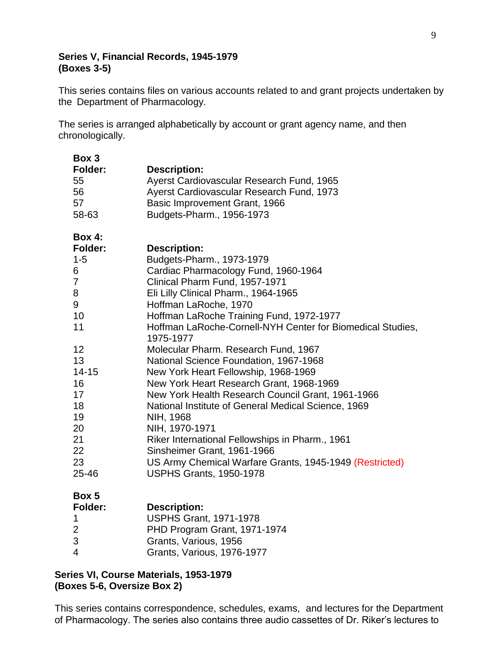#### **Series V, Financial Records, 1945-1979 (Boxes 3-5)**

This series contains files on various accounts related to and grant projects undertaken by the Department of Pharmacology.

The series is arranged alphabetically by account or grant agency name, and then chronologically.

| Box 3          |                                                                         |
|----------------|-------------------------------------------------------------------------|
| <b>Folder:</b> | <b>Description:</b>                                                     |
| 55             | Ayerst Cardiovascular Research Fund, 1965                               |
| 56             | Ayerst Cardiovascular Research Fund, 1973                               |
| 57             | Basic Improvement Grant, 1966                                           |
| 58-63          | Budgets-Pharm., 1956-1973                                               |
| <b>Box 4:</b>  |                                                                         |
| <b>Folder:</b> | <b>Description:</b>                                                     |
| $1 - 5$        | Budgets-Pharm., 1973-1979                                               |
| 6              | Cardiac Pharmacology Fund, 1960-1964                                    |
| $\overline{7}$ | Clinical Pharm Fund, 1957-1971                                          |
| 8              | Eli Lilly Clinical Pharm., 1964-1965                                    |
| 9              | Hoffman LaRoche, 1970                                                   |
| 10             | Hoffman LaRoche Training Fund, 1972-1977                                |
| 11             | Hoffman LaRoche-Cornell-NYH Center for Biomedical Studies,<br>1975-1977 |
| 12             | Molecular Pharm. Research Fund, 1967                                    |
| 13             | National Science Foundation, 1967-1968                                  |
| $14 - 15$      | New York Heart Fellowship, 1968-1969                                    |
| 16             | New York Heart Research Grant, 1968-1969                                |
| 17             | New York Health Research Council Grant, 1961-1966                       |
| 18             | National Institute of General Medical Science, 1969                     |
| 19             | NIH, 1968                                                               |
| 20             | NIH, 1970-1971                                                          |
| 21             | Riker International Fellowships in Pharm., 1961                         |
| 22             | Sinsheimer Grant, 1961-1966                                             |
| 23             | US Army Chemical Warfare Grants, 1945-1949 (Restricted)                 |
| 25-46          | <b>USPHS Grants, 1950-1978</b>                                          |
| Box 5          |                                                                         |
| <b>Folder:</b> | <b>Description:</b>                                                     |
| 1              | <b>USPHS Grant, 1971-1978</b>                                           |
| 2              | PHD Program Grant, 1971-1974                                            |
| 3              | Grants, Various, 1956                                                   |
| 4              | Grants, Various, 1976-1977                                              |

### **Series VI, Course Materials, 1953-1979 (Boxes 5-6, Oversize Box 2)**

This series contains correspondence, schedules, exams, and lectures for the Department of Pharmacology. The series also contains three audio cassettes of Dr. Riker's lectures to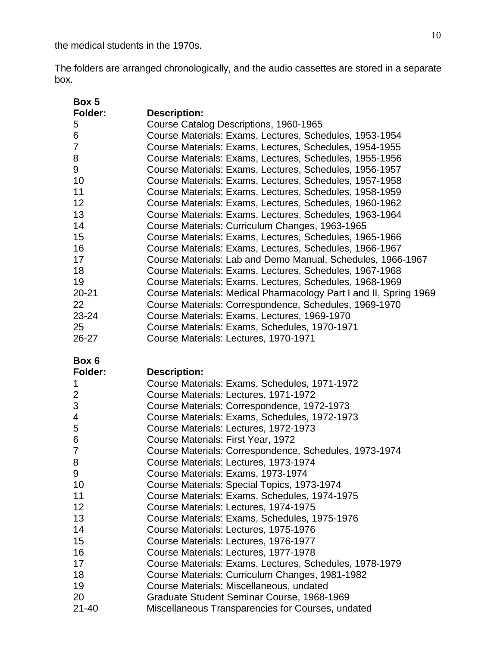the medical students in the 1970s.

The folders are arranged chronologically, and the audio cassettes are stored in a separate box.

| Box 5           |                                                                                                 |
|-----------------|-------------------------------------------------------------------------------------------------|
| Folder:         | <b>Description:</b>                                                                             |
| 5               | Course Catalog Descriptions, 1960-1965                                                          |
| 6               | Course Materials: Exams, Lectures, Schedules, 1953-1954                                         |
| 7               | Course Materials: Exams, Lectures, Schedules, 1954-1955                                         |
| 8               | Course Materials: Exams, Lectures, Schedules, 1955-1956                                         |
| 9               | Course Materials: Exams, Lectures, Schedules, 1956-1957                                         |
| 10              | Course Materials: Exams, Lectures, Schedules, 1957-1958                                         |
| 11              | Course Materials: Exams, Lectures, Schedules, 1958-1959                                         |
| 12              | Course Materials: Exams, Lectures, Schedules, 1960-1962                                         |
| 13              | Course Materials: Exams, Lectures, Schedules, 1963-1964                                         |
| 14              | Course Materials: Curriculum Changes, 1963-1965                                                 |
| 15              | Course Materials: Exams, Lectures, Schedules, 1965-1966                                         |
| 16              | Course Materials: Exams, Lectures, Schedules, 1966-1967                                         |
| 17              | Course Materials: Lab and Demo Manual, Schedules, 1966-1967                                     |
| 18              | Course Materials: Exams, Lectures, Schedules, 1967-1968                                         |
| 19              | Course Materials: Exams, Lectures, Schedules, 1968-1969                                         |
| $20 - 21$       | Course Materials: Medical Pharmacology Part I and II, Spring 1969                               |
| 22              | Course Materials: Correspondence, Schedules, 1969-1970                                          |
| 23-24           | Course Materials: Exams, Lectures, 1969-1970                                                    |
| 25              | Course Materials: Exams, Schedules, 1970-1971                                                   |
| 26-27           | Course Materials: Lectures, 1970-1971                                                           |
|                 |                                                                                                 |
| Box 6           |                                                                                                 |
| <b>Folder:</b>  | <b>Description:</b>                                                                             |
| 1               | Course Materials: Exams, Schedules, 1971-1972                                                   |
| $\overline{2}$  | Course Materials: Lectures, 1971-1972                                                           |
| 3               | Course Materials: Correspondence, 1972-1973                                                     |
| 4               | Course Materials: Exams, Schedules, 1972-1973                                                   |
| 5               | Course Materials: Lectures, 1972-1973                                                           |
| 6               | Course Materials: First Year, 1972                                                              |
| $\overline{7}$  | Course Materials: Correspondence, Schedules, 1973-1974                                          |
| 8               |                                                                                                 |
|                 | Course Materials: Lectures, 1973-1974                                                           |
| 9               | Course Materials: Exams, 1973-1974                                                              |
| 10              | Course Materials: Special Topics, 1973-1974                                                     |
| 11              | Course Materials: Exams, Schedules, 1974-1975                                                   |
| 12              | Course Materials: Lectures, 1974-1975                                                           |
| 13              | Course Materials: Exams, Schedules, 1975-1976                                                   |
| 14              | Course Materials: Lectures, 1975-1976                                                           |
| 15              | Course Materials: Lectures, 1976-1977                                                           |
| 16              | Course Materials: Lectures, 1977-1978                                                           |
| 17              | Course Materials: Exams, Lectures, Schedules, 1978-1979                                         |
| 18              | Course Materials: Curriculum Changes, 1981-1982                                                 |
| 19              | Course Materials: Miscellaneous, undated                                                        |
| 20<br>$21 - 40$ | Graduate Student Seminar Course, 1968-1969<br>Miscellaneous Transparencies for Courses, undated |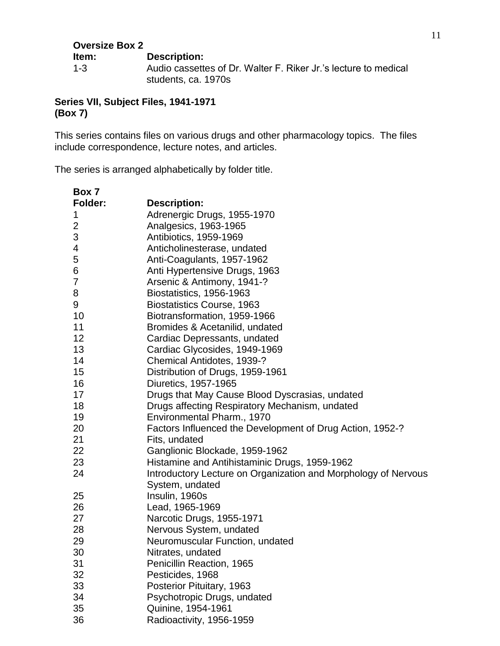| <b>Oversize Box 2</b> |                                                                                        |
|-----------------------|----------------------------------------------------------------------------------------|
| ltem:                 | <b>Description:</b>                                                                    |
| $1 - 3$               | Audio cassettes of Dr. Walter F. Riker Jr.'s lecture to medical<br>students, ca. 1970s |

### **Series VII, Subject Files, 1941-1971 (Box 7)**

This series contains files on various drugs and other pharmacology topics. The files include correspondence, lecture notes, and articles.

| Box 7   |                                                                                   |
|---------|-----------------------------------------------------------------------------------|
| Folder: | <b>Description:</b>                                                               |
| 1       | Adrenergic Drugs, 1955-1970                                                       |
| 2       | Analgesics, 1963-1965                                                             |
| 3       | Antibiotics, 1959-1969                                                            |
| 4       | Anticholinesterase, undated                                                       |
| 5       | Anti-Coagulants, 1957-1962                                                        |
| 6       | Anti Hypertensive Drugs, 1963                                                     |
| 7       | Arsenic & Antimony, 1941-?                                                        |
| 8       | Biostatistics, 1956-1963                                                          |
| 9       | <b>Biostatistics Course, 1963</b>                                                 |
| 10      | Biotransformation, 1959-1966                                                      |
| 11      | Bromides & Acetanilid, undated                                                    |
| 12      | Cardiac Depressants, undated                                                      |
| 13      | Cardiac Glycosides, 1949-1969                                                     |
| 14      | Chemical Antidotes, 1939-?                                                        |
| 15      | Distribution of Drugs, 1959-1961                                                  |
| 16      | Diuretics, 1957-1965                                                              |
| 17      | Drugs that May Cause Blood Dyscrasias, undated                                    |
| 18      | Drugs affecting Respiratory Mechanism, undated                                    |
| 19      | Environmental Pharm., 1970                                                        |
| 20      | Factors Influenced the Development of Drug Action, 1952-?                         |
| 21      | Fits, undated                                                                     |
| 22      | Ganglionic Blockade, 1959-1962                                                    |
| 23      | Histamine and Antihistaminic Drugs, 1959-1962                                     |
| 24      | Introductory Lecture on Organization and Morphology of Nervous<br>System, undated |
| 25      | Insulin, 1960s                                                                    |
| 26      | Lead, 1965-1969                                                                   |
| 27      | Narcotic Drugs, 1955-1971                                                         |
| 28      | Nervous System, undated                                                           |
| 29      | Neuromuscular Function, undated                                                   |
| 30      | Nitrates, undated                                                                 |
| 31      | Penicillin Reaction, 1965                                                         |
| 32      | Pesticides, 1968                                                                  |
| 33      | Posterior Pituitary, 1963                                                         |
| 34      | Psychotropic Drugs, undated                                                       |
| 35      | Quinine, 1954-1961                                                                |
| 36      | Radioactivity, 1956-1959                                                          |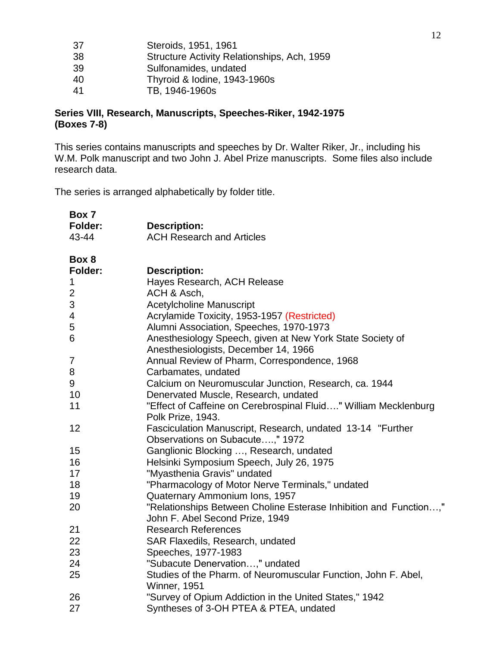| -37 | Steroids, 1951, 1961                        |
|-----|---------------------------------------------|
| 38  | Structure Activity Relationships, Ach, 1959 |
| 39  | Sulfonamides, undated                       |
| 40  | Thyroid & Iodine, 1943-1960s                |
| -41 | TB, 1946-1960s                              |
|     |                                             |

### **Series VIII, Research, Manuscripts, Speeches-Riker, 1942-1975 (Boxes 7-8)**

This series contains manuscripts and speeches by Dr. Walter Riker, Jr., including his W.M. Polk manuscript and two John J. Abel Prize manuscripts. Some files also include research data.

| Box 7          |                                                                                                      |
|----------------|------------------------------------------------------------------------------------------------------|
| <b>Folder:</b> | <b>Description:</b>                                                                                  |
| 43-44          | <b>ACH Research and Articles</b>                                                                     |
| Box 8          |                                                                                                      |
| <b>Folder:</b> | <b>Description:</b>                                                                                  |
| 1              | Hayes Research, ACH Release                                                                          |
| $\mathbf{2}$   | ACH & Asch,                                                                                          |
| 3              | <b>Acetylcholine Manuscript</b>                                                                      |
| 4              | Acrylamide Toxicity, 1953-1957 (Restricted)                                                          |
| 5              | Alumni Association, Speeches, 1970-1973                                                              |
| 6              | Anesthesiology Speech, given at New York State Society of<br>Anesthesiologists, December 14, 1966    |
| 7              | Annual Review of Pharm, Correspondence, 1968                                                         |
| 8              | Carbamates, undated                                                                                  |
| 9              | Calcium on Neuromuscular Junction, Research, ca. 1944                                                |
| 10             | Denervated Muscle, Research, undated                                                                 |
| 11             | "Effect of Caffeine on Cerebrospinal Fluid" William Mecklenburg<br>Polk Prize, 1943.                 |
| 12             | Fasciculation Manuscript, Research, undated 13-14 "Further<br>Observations on Subacute," 1972        |
| 15             | Ganglionic Blocking , Research, undated                                                              |
| 16             | Helsinki Symposium Speech, July 26, 1975                                                             |
| 17             | "Myasthenia Gravis" undated                                                                          |
| 18             | "Pharmacology of Motor Nerve Terminals," undated                                                     |
| 19             | Quaternary Ammonium Ions, 1957                                                                       |
| 20             | "Relationships Between Choline Esterase Inhibition and Function,"<br>John F. Abel Second Prize, 1949 |
| 21             | <b>Research References</b>                                                                           |
| 22             | SAR Flaxedils, Research, undated                                                                     |
| 23             | Speeches, 1977-1983                                                                                  |
| 24             | "Subacute Denervation," undated                                                                      |
| 25             | Studies of the Pharm. of Neuromuscular Function, John F. Abel,<br>Winner, 1951                       |
| 26             | "Survey of Opium Addiction in the United States," 1942                                               |
| 27             | Syntheses of 3-OH PTEA & PTEA, undated                                                               |